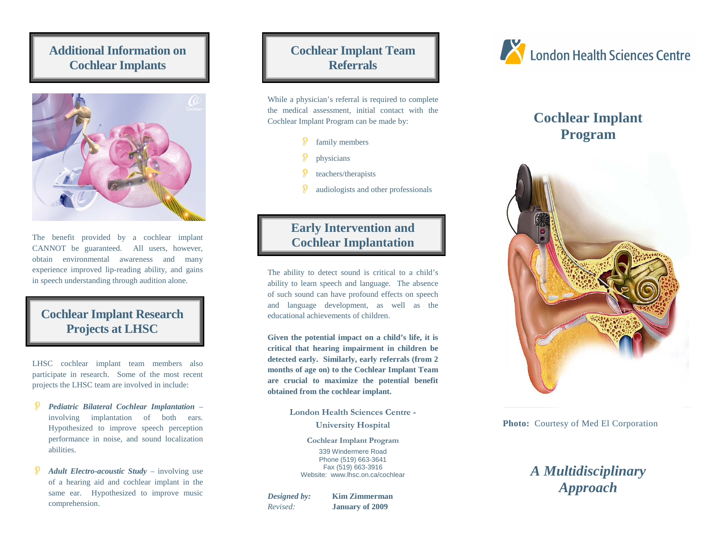## **Additional Information on Cochlear Implants**



The benefit provided by a cochlear implant CANNOT be guaranteed. All users, however, obtain environmental awareness and many experience improved lip-reading ability, and gains in speech understanding through audition alone.

## **Cochlear Implant Research Projects at LHSC**

LHSC cochlear implant team members also participate in research. Some of the most recent projects the LHSC team are involved in include:

- P *Pediatric Bilateral Cochlear Implantation* – involving implantation of both ears. Hypothesized to improve speech perception performance in noise, and sound localization abilities.
- ி *Adult Electro-acoustic Study* – involving use of a hearing aid and cochlear implant in the same ear. Hypothesized to improve music comprehension.

# **Cochlear Implant Team Referrals**

While a physician's referral is required to complete the medical assessment, initial contact with the Cochlear Implant Program can be made by:

- family members
- <sup>p</sup>hysicians
- teachers/therapists
- P audiologists and other professionals

## **Early Intervention and Cochlear Implantation**

The ability to detect sound is critical to a child's ability to learn speech and language. The absence of such sound can have profound effects on speech and language development, as well as the educational achievements of children.

**Given the potential impact on a child's life, it is critical that hearing impairment in children be detected early. Similarly, early referrals (from 2 months of age on) to the Cochlear Implant Team are crucial to maximize the potential benefit obtained from the cochlear implant.** 

> London Health Sciences Centre - University Hospital

> > Cochlear Implant Program 339 Windermere Road Phone (519) 663-3641 Fax (519) 663-3916 Website: www.lhsc.on.ca/cochlear

*Designed by:* **Kim Zimmerman** *Revised:* **January of 2009**



# **Cochlear Implant Program**



**Photo:** Courtesy of Med El Corporation

# *A Multidisciplinary Approach*